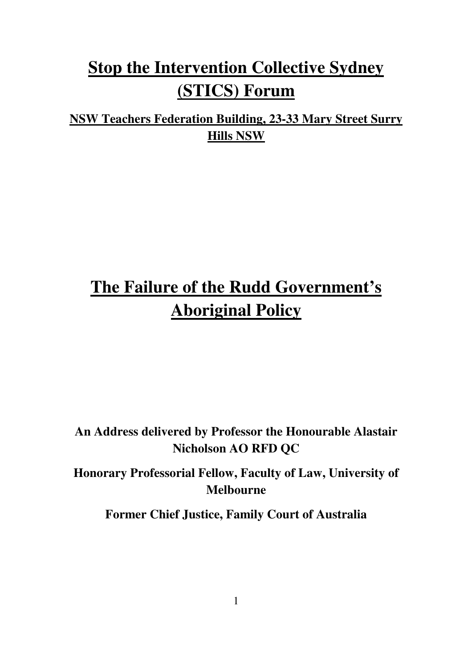# **Stop the Intervention Collective Sydney (STICS) Forum**

# **NSW Teachers Federation Building, 23-33 Mary Street Surry Hills NSW**

# **The Failure of the Rudd Government's Aboriginal Policy**

**An Address delivered by Professor the Honourable Alastair Nicholson AO RFD QC** 

**Honorary Professorial Fellow, Faculty of Law, University of Melbourne** 

**Former Chief Justice, Family Court of Australia**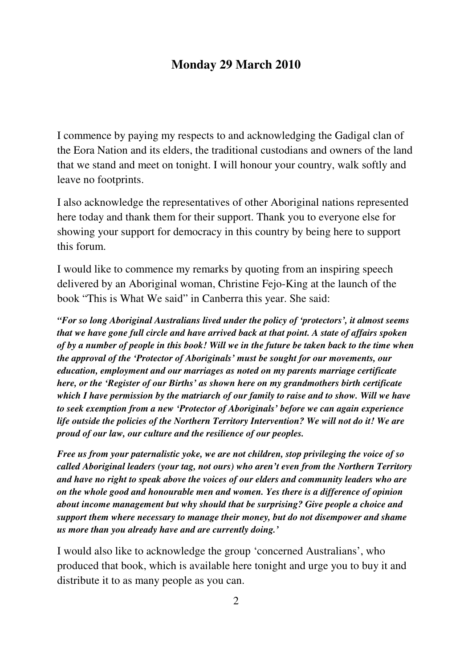## **Monday 29 March 2010**

I commence by paying my respects to and acknowledging the Gadigal clan of the Eora Nation and its elders, the traditional custodians and owners of the land that we stand and meet on tonight. I will honour your country, walk softly and leave no footprints.

I also acknowledge the representatives of other Aboriginal nations represented here today and thank them for their support. Thank you to everyone else for showing your support for democracy in this country by being here to support this forum.

I would like to commence my remarks by quoting from an inspiring speech delivered by an Aboriginal woman, Christine Fejo-King at the launch of the book "This is What We said" in Canberra this year. She said:

*"For so long Aboriginal Australians lived under the policy of 'protectors', it almost seems that we have gone full circle and have arrived back at that point. A state of affairs spoken of by a number of people in this book! Will we in the future be taken back to the time when the approval of the 'Protector of Aboriginals' must be sought for our movements, our education, employment and our marriages as noted on my parents marriage certificate here, or the 'Register of our Births' as shown here on my grandmothers birth certificate which I have permission by the matriarch of our family to raise and to show. Will we have to seek exemption from a new 'Protector of Aboriginals' before we can again experience life outside the policies of the Northern Territory Intervention? We will not do it! We are proud of our law, our culture and the resilience of our peoples.* 

*Free us from your paternalistic yoke, we are not children, stop privileging the voice of so called Aboriginal leaders (your tag, not ours) who aren't even from the Northern Territory and have no right to speak above the voices of our elders and community leaders who are on the whole good and honourable men and women. Yes there is a difference of opinion about income management but why should that be surprising? Give people a choice and support them where necessary to manage their money, but do not disempower and shame us more than you already have and are currently doing.'* 

I would also like to acknowledge the group 'concerned Australians', who produced that book, which is available here tonight and urge you to buy it and distribute it to as many people as you can.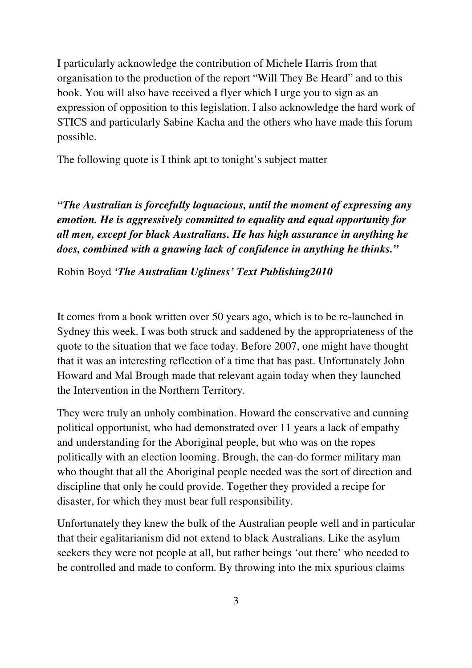I particularly acknowledge the contribution of Michele Harris from that organisation to the production of the report "Will They Be Heard" and to this book. You will also have received a flyer which I urge you to sign as an expression of opposition to this legislation. I also acknowledge the hard work of STICS and particularly Sabine Kacha and the others who have made this forum possible.

The following quote is I think apt to tonight's subject matter

*"The Australian is forcefully loquacious, until the moment of expressing any emotion. He is aggressively committed to equality and equal opportunity for all men, except for black Australians. He has high assurance in anything he does, combined with a gnawing lack of confidence in anything he thinks."* 

Robin Boyd *'The Australian Ugliness' Text Publishing2010* 

It comes from a book written over 50 years ago, which is to be re-launched in Sydney this week. I was both struck and saddened by the appropriateness of the quote to the situation that we face today. Before 2007, one might have thought that it was an interesting reflection of a time that has past. Unfortunately John Howard and Mal Brough made that relevant again today when they launched the Intervention in the Northern Territory.

They were truly an unholy combination. Howard the conservative and cunning political opportunist, who had demonstrated over 11 years a lack of empathy and understanding for the Aboriginal people, but who was on the ropes politically with an election looming. Brough, the can-do former military man who thought that all the Aboriginal people needed was the sort of direction and discipline that only he could provide. Together they provided a recipe for disaster, for which they must bear full responsibility.

Unfortunately they knew the bulk of the Australian people well and in particular that their egalitarianism did not extend to black Australians. Like the asylum seekers they were not people at all, but rather beings 'out there' who needed to be controlled and made to conform. By throwing into the mix spurious claims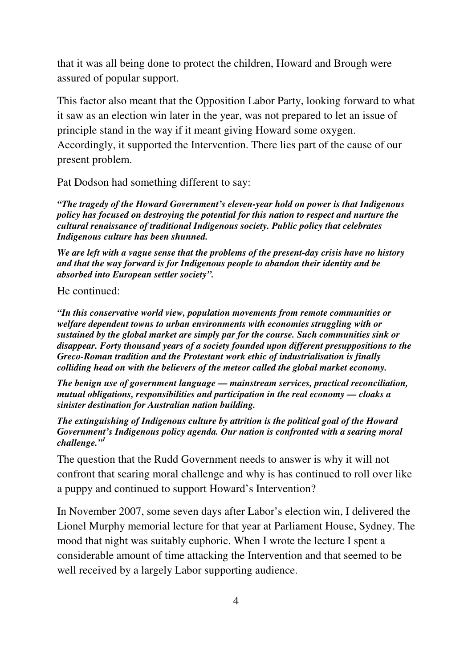that it was all being done to protect the children, Howard and Brough were assured of popular support.

This factor also meant that the Opposition Labor Party, looking forward to what it saw as an election win later in the year, was not prepared to let an issue of principle stand in the way if it meant giving Howard some oxygen. Accordingly, it supported the Intervention. There lies part of the cause of our present problem.

Pat Dodson had something different to say:

*"The tragedy of the Howard Government's eleven-year hold on power is that Indigenous policy has focused on destroying the potential for this nation to respect and nurture the cultural renaissance of traditional Indigenous society. Public policy that celebrates Indigenous culture has been shunned.* 

*We are left with a vague sense that the problems of the present-day crisis have no history and that the way forward is for Indigenous people to abandon their identity and be absorbed into European settler society".* 

#### He continued:

*"In this conservative world view, population movements from remote communities or welfare dependent towns to urban environments with economies struggling with or sustained by the global market are simply par for the course. Such communities sink or disappear. Forty thousand years of a society founded upon different presuppositions to the Greco-Roman tradition and the Protestant work ethic of industrialisation is finally colliding head on with the believers of the meteor called the global market economy.* 

*The benign use of government language — mainstream services, practical reconciliation, mutual obligations, responsibilities and participation in the real economy — cloaks a sinister destination for Australian nation building.* 

*The extinguishing of Indigenous culture by attrition is the political goal of the Howard Government's Indigenous policy agenda. Our nation is confronted with a searing moral challenge."<sup>1</sup>*

The question that the Rudd Government needs to answer is why it will not confront that searing moral challenge and why is has continued to roll over like a puppy and continued to support Howard's Intervention?

In November 2007, some seven days after Labor's election win, I delivered the Lionel Murphy memorial lecture for that year at Parliament House, Sydney. The mood that night was suitably euphoric. When I wrote the lecture I spent a considerable amount of time attacking the Intervention and that seemed to be well received by a largely Labor supporting audience.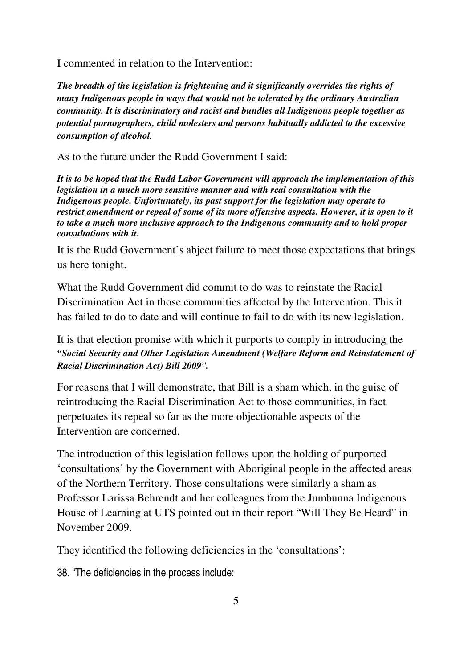I commented in relation to the Intervention:

*The breadth of the legislation is frightening and it significantly overrides the rights of many Indigenous people in ways that would not be tolerated by the ordinary Australian community. It is discriminatory and racist and bundles all Indigenous people together as potential pornographers, child molesters and persons habitually addicted to the excessive consumption of alcohol.* 

As to the future under the Rudd Government I said:

*It is to be hoped that the Rudd Labor Government will approach the implementation of this legislation in a much more sensitive manner and with real consultation with the Indigenous people. Unfortunately, its past support for the legislation may operate to restrict amendment or repeal of some of its more offensive aspects. However, it is open to it to take a much more inclusive approach to the Indigenous community and to hold proper consultations with it.* 

It is the Rudd Government's abject failure to meet those expectations that brings us here tonight.

What the Rudd Government did commit to do was to reinstate the Racial Discrimination Act in those communities affected by the Intervention. This it has failed to do to date and will continue to fail to do with its new legislation.

It is that election promise with which it purports to comply in introducing the *"Social Security and Other Legislation Amendment (Welfare Reform and Reinstatement of Racial Discrimination Act) Bill 2009".* 

For reasons that I will demonstrate, that Bill is a sham which, in the guise of reintroducing the Racial Discrimination Act to those communities, in fact perpetuates its repeal so far as the more objectionable aspects of the Intervention are concerned.

The introduction of this legislation follows upon the holding of purported 'consultations' by the Government with Aboriginal people in the affected areas of the Northern Territory. Those consultations were similarly a sham as Professor Larissa Behrendt and her colleagues from the Jumbunna Indigenous House of Learning at UTS pointed out in their report "Will They Be Heard" in November 2009.

They identified the following deficiencies in the 'consultations':

38. "The deficiencies in the process include: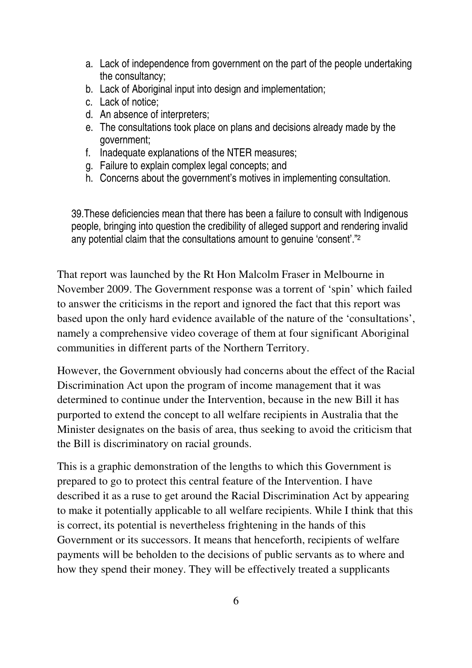- a. Lack of independence from government on the part of the people undertaking the consultancy;
- b. Lack of Aboriginal input into design and implementation;
- c. Lack of notice;
- d. An absence of interpreters;
- e. The consultations took place on plans and decisions already made by the government;
- f. Inadequate explanations of the NTER measures;
- g. Failure to explain complex legal concepts; and
- h. Concerns about the government's motives in implementing consultation.

39.These deficiencies mean that there has been a failure to consult with Indigenous people, bringing into question the credibility of alleged support and rendering invalid any potential claim that the consultations amount to genuine 'consent'."<sup>2</sup>

That report was launched by the Rt Hon Malcolm Fraser in Melbourne in November 2009. The Government response was a torrent of 'spin' which failed to answer the criticisms in the report and ignored the fact that this report was based upon the only hard evidence available of the nature of the 'consultations', namely a comprehensive video coverage of them at four significant Aboriginal communities in different parts of the Northern Territory.

However, the Government obviously had concerns about the effect of the Racial Discrimination Act upon the program of income management that it was determined to continue under the Intervention, because in the new Bill it has purported to extend the concept to all welfare recipients in Australia that the Minister designates on the basis of area, thus seeking to avoid the criticism that the Bill is discriminatory on racial grounds.

This is a graphic demonstration of the lengths to which this Government is prepared to go to protect this central feature of the Intervention. I have described it as a ruse to get around the Racial Discrimination Act by appearing to make it potentially applicable to all welfare recipients. While I think that this is correct, its potential is nevertheless frightening in the hands of this Government or its successors. It means that henceforth, recipients of welfare payments will be beholden to the decisions of public servants as to where and how they spend their money. They will be effectively treated a supplicants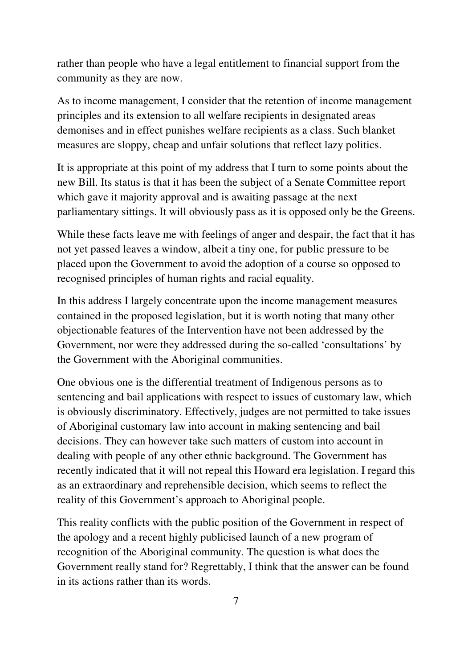rather than people who have a legal entitlement to financial support from the community as they are now.

As to income management, I consider that the retention of income management principles and its extension to all welfare recipients in designated areas demonises and in effect punishes welfare recipients as a class. Such blanket measures are sloppy, cheap and unfair solutions that reflect lazy politics.

It is appropriate at this point of my address that I turn to some points about the new Bill. Its status is that it has been the subject of a Senate Committee report which gave it majority approval and is awaiting passage at the next parliamentary sittings. It will obviously pass as it is opposed only be the Greens.

While these facts leave me with feelings of anger and despair, the fact that it has not yet passed leaves a window, albeit a tiny one, for public pressure to be placed upon the Government to avoid the adoption of a course so opposed to recognised principles of human rights and racial equality.

In this address I largely concentrate upon the income management measures contained in the proposed legislation, but it is worth noting that many other objectionable features of the Intervention have not been addressed by the Government, nor were they addressed during the so-called 'consultations' by the Government with the Aboriginal communities.

One obvious one is the differential treatment of Indigenous persons as to sentencing and bail applications with respect to issues of customary law, which is obviously discriminatory. Effectively, judges are not permitted to take issues of Aboriginal customary law into account in making sentencing and bail decisions. They can however take such matters of custom into account in dealing with people of any other ethnic background. The Government has recently indicated that it will not repeal this Howard era legislation. I regard this as an extraordinary and reprehensible decision, which seems to reflect the reality of this Government's approach to Aboriginal people.

This reality conflicts with the public position of the Government in respect of the apology and a recent highly publicised launch of a new program of recognition of the Aboriginal community. The question is what does the Government really stand for? Regrettably, I think that the answer can be found in its actions rather than its words.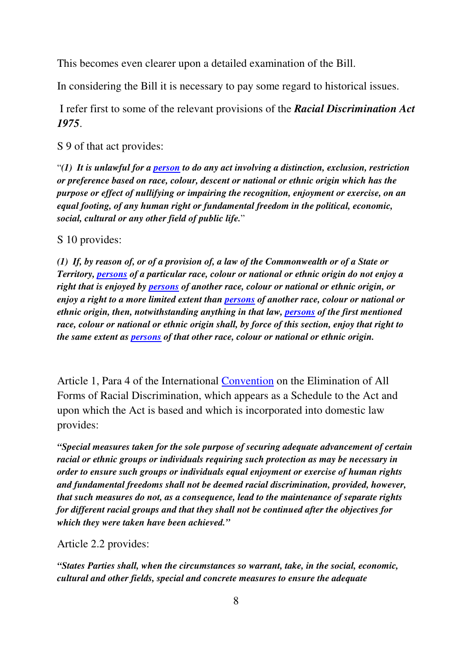This becomes even clearer upon a detailed examination of the Bill.

In considering the Bill it is necessary to pay some regard to historical issues.

 I refer first to some of the relevant provisions of the *Racial Discrimination Act 1975*.

S 9 of that act provides:

"*(1) It is unlawful for a person to do any act involving a distinction, exclusion, restriction or preference based on race, colour, descent or national or ethnic origin which has the purpose or effect of nullifying or impairing the recognition, enjoyment or exercise, on an equal footing, of any human right or fundamental freedom in the political, economic, social, cultural or any other field of public life.*"

S 10 provides:

*(1) If, by reason of, or of a provision of, a law of the Commonwealth or of a State or Territory, persons of a particular race, colour or national or ethnic origin do not enjoy a right that is enjoyed by persons of another race, colour or national or ethnic origin, or enjoy a right to a more limited extent than persons of another race, colour or national or ethnic origin, then, notwithstanding anything in that law, persons of the first mentioned race, colour or national or ethnic origin shall, by force of this section, enjoy that right to the same extent as persons of that other race, colour or national or ethnic origin.* 

Article 1, Para 4 of the International Convention on the Elimination of All Forms of Racial Discrimination, which appears as a Schedule to the Act and upon which the Act is based and which is incorporated into domestic law provides:

*"Special measures taken for the sole purpose of securing adequate advancement of certain racial or ethnic groups or individuals requiring such protection as may be necessary in order to ensure such groups or individuals equal enjoyment or exercise of human rights and fundamental freedoms shall not be deemed racial discrimination, provided, however, that such measures do not, as a consequence, lead to the maintenance of separate rights for different racial groups and that they shall not be continued after the objectives for which they were taken have been achieved."* 

Article 2.2 provides:

*"States Parties shall, when the circumstances so warrant, take, in the social, economic, cultural and other fields, special and concrete measures to ensure the adequate*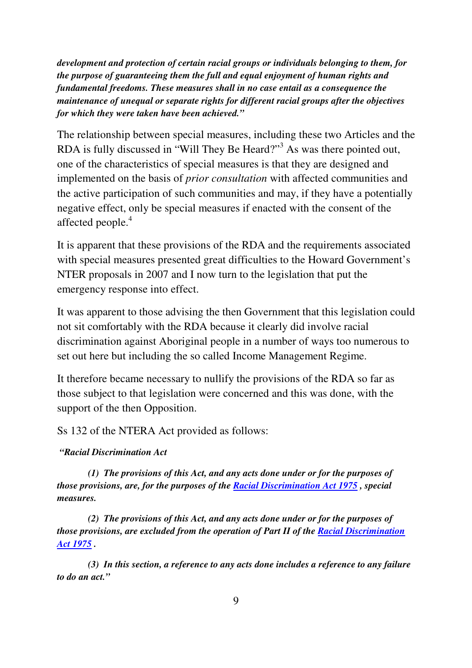*development and protection of certain racial groups or individuals belonging to them, for the purpose of guaranteeing them the full and equal enjoyment of human rights and fundamental freedoms. These measures shall in no case entail as a consequence the maintenance of unequal or separate rights for different racial groups after the objectives for which they were taken have been achieved."* 

The relationship between special measures, including these two Articles and the RDA is fully discussed in "Will They Be Heard?"<sup>3</sup> As was there pointed out, one of the characteristics of special measures is that they are designed and implemented on the basis of *prior consultation* with affected communities and the active participation of such communities and may, if they have a potentially negative effect, only be special measures if enacted with the consent of the affected people.<sup>4</sup>

It is apparent that these provisions of the RDA and the requirements associated with special measures presented great difficulties to the Howard Government's NTER proposals in 2007 and I now turn to the legislation that put the emergency response into effect.

It was apparent to those advising the then Government that this legislation could not sit comfortably with the RDA because it clearly did involve racial discrimination against Aboriginal people in a number of ways too numerous to set out here but including the so called Income Management Regime.

It therefore became necessary to nullify the provisions of the RDA so far as those subject to that legislation were concerned and this was done, with the support of the then Opposition.

Ss 132 of the NTERA Act provided as follows:

#### *"Racial Discrimination Act*

 *(1) The provisions of this Act, and any acts done under or for the purposes of those provisions, are, for the purposes of the Racial Discrimination Act 1975 , special measures.* 

 *(2) The provisions of this Act, and any acts done under or for the purposes of those provisions, are excluded from the operation of Part II of the Racial Discrimination Act 1975 .* 

 *(3) In this section, a reference to any acts done includes a reference to any failure to do an act."*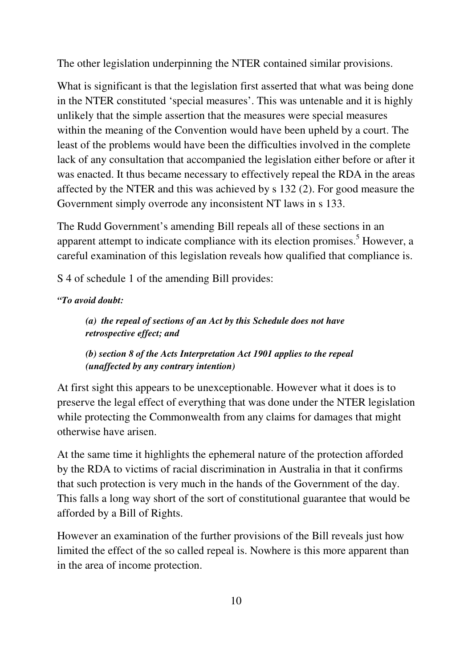The other legislation underpinning the NTER contained similar provisions.

What is significant is that the legislation first asserted that what was being done in the NTER constituted 'special measures'. This was untenable and it is highly unlikely that the simple assertion that the measures were special measures within the meaning of the Convention would have been upheld by a court. The least of the problems would have been the difficulties involved in the complete lack of any consultation that accompanied the legislation either before or after it was enacted. It thus became necessary to effectively repeal the RDA in the areas affected by the NTER and this was achieved by s 132 (2). For good measure the Government simply overrode any inconsistent NT laws in s 133.

The Rudd Government's amending Bill repeals all of these sections in an apparent attempt to indicate compliance with its election promises.<sup>5</sup> However, a careful examination of this legislation reveals how qualified that compliance is.

S 4 of schedule 1 of the amending Bill provides:

### *"To avoid doubt:*

 *(a) the repeal of sections of an Act by this Schedule does not have retrospective effect; and* 

 *(b) section 8 of the Acts Interpretation Act 1901 applies to the repeal (unaffected by any contrary intention)* 

At first sight this appears to be unexceptionable. However what it does is to preserve the legal effect of everything that was done under the NTER legislation while protecting the Commonwealth from any claims for damages that might otherwise have arisen.

At the same time it highlights the ephemeral nature of the protection afforded by the RDA to victims of racial discrimination in Australia in that it confirms that such protection is very much in the hands of the Government of the day. This falls a long way short of the sort of constitutional guarantee that would be afforded by a Bill of Rights.

However an examination of the further provisions of the Bill reveals just how limited the effect of the so called repeal is. Nowhere is this more apparent than in the area of income protection.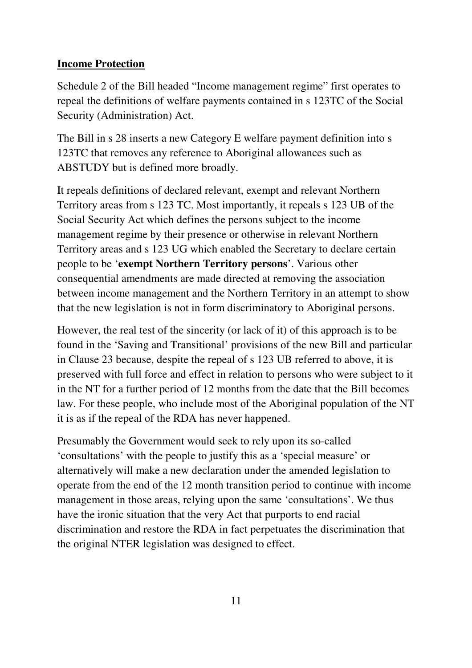#### **Income Protection**

Schedule 2 of the Bill headed "Income management regime" first operates to repeal the definitions of welfare payments contained in s 123TC of the Social Security (Administration) Act.

The Bill in s 28 inserts a new Category E welfare payment definition into s 123TC that removes any reference to Aboriginal allowances such as ABSTUDY but is defined more broadly.

It repeals definitions of declared relevant, exempt and relevant Northern Territory areas from s 123 TC. Most importantly, it repeals s 123 UB of the Social Security Act which defines the persons subject to the income management regime by their presence or otherwise in relevant Northern Territory areas and s 123 UG which enabled the Secretary to declare certain people to be '**exempt Northern Territory persons**'. Various other consequential amendments are made directed at removing the association between income management and the Northern Territory in an attempt to show that the new legislation is not in form discriminatory to Aboriginal persons.

However, the real test of the sincerity (or lack of it) of this approach is to be found in the 'Saving and Transitional' provisions of the new Bill and particular in Clause 23 because, despite the repeal of s 123 UB referred to above, it is preserved with full force and effect in relation to persons who were subject to it in the NT for a further period of 12 months from the date that the Bill becomes law. For these people, who include most of the Aboriginal population of the NT it is as if the repeal of the RDA has never happened.

Presumably the Government would seek to rely upon its so-called 'consultations' with the people to justify this as a 'special measure' or alternatively will make a new declaration under the amended legislation to operate from the end of the 12 month transition period to continue with income management in those areas, relying upon the same 'consultations'. We thus have the ironic situation that the very Act that purports to end racial discrimination and restore the RDA in fact perpetuates the discrimination that the original NTER legislation was designed to effect.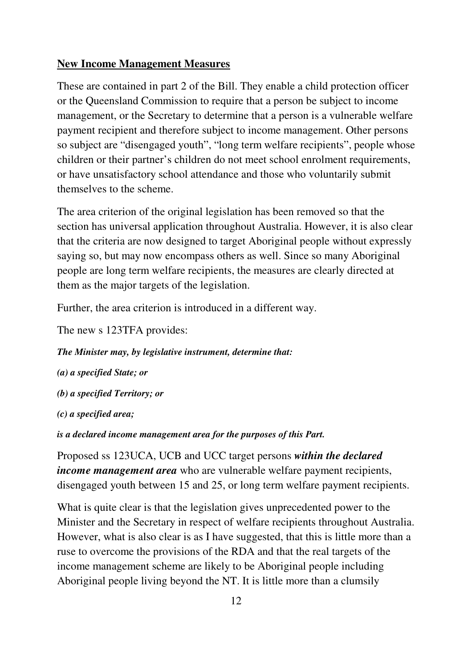#### **New Income Management Measures**

These are contained in part 2 of the Bill. They enable a child protection officer or the Queensland Commission to require that a person be subject to income management, or the Secretary to determine that a person is a vulnerable welfare payment recipient and therefore subject to income management. Other persons so subject are "disengaged youth", "long term welfare recipients", people whose children or their partner's children do not meet school enrolment requirements, or have unsatisfactory school attendance and those who voluntarily submit themselves to the scheme.

The area criterion of the original legislation has been removed so that the section has universal application throughout Australia. However, it is also clear that the criteria are now designed to target Aboriginal people without expressly saying so, but may now encompass others as well. Since so many Aboriginal people are long term welfare recipients, the measures are clearly directed at them as the major targets of the legislation.

Further, the area criterion is introduced in a different way.

The new s 123TFA provides:

*The Minister may, by legislative instrument, determine that:* 

- *(a) a specified State; or*
- *(b) a specified Territory; or*

*(c) a specified area;* 

*is a declared income management area for the purposes of this Part.* 

Proposed ss 123UCA, UCB and UCC target persons *within the declared income management area* who are vulnerable welfare payment recipients, disengaged youth between 15 and 25, or long term welfare payment recipients.

What is quite clear is that the legislation gives unprecedented power to the Minister and the Secretary in respect of welfare recipients throughout Australia. However, what is also clear is as I have suggested, that this is little more than a ruse to overcome the provisions of the RDA and that the real targets of the income management scheme are likely to be Aboriginal people including Aboriginal people living beyond the NT. It is little more than a clumsily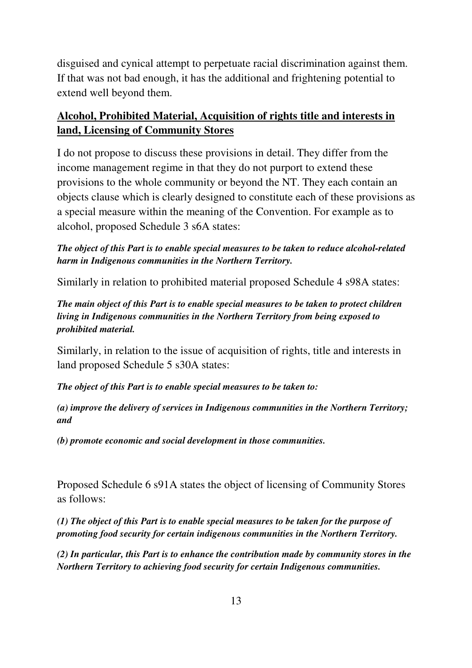disguised and cynical attempt to perpetuate racial discrimination against them. If that was not bad enough, it has the additional and frightening potential to extend well beyond them.

## **Alcohol, Prohibited Material, Acquisition of rights title and interests in land, Licensing of Community Stores**

I do not propose to discuss these provisions in detail. They differ from the income management regime in that they do not purport to extend these provisions to the whole community or beyond the NT. They each contain an objects clause which is clearly designed to constitute each of these provisions as a special measure within the meaning of the Convention. For example as to alcohol, proposed Schedule 3 s6A states:

#### *The object of this Part is to enable special measures to be taken to reduce alcohol-related harm in Indigenous communities in the Northern Territory.*

Similarly in relation to prohibited material proposed Schedule 4 s98A states:

*The main object of this Part is to enable special measures to be taken to protect children living in Indigenous communities in the Northern Territory from being exposed to prohibited material.* 

Similarly, in relation to the issue of acquisition of rights, title and interests in land proposed Schedule 5 s30A states:

*The object of this Part is to enable special measures to be taken to:* 

*(a) improve the delivery of services in Indigenous communities in the Northern Territory; and* 

*(b) promote economic and social development in those communities.* 

Proposed Schedule 6 s91A states the object of licensing of Community Stores as follows:

*(1) The object of this Part is to enable special measures to be taken for the purpose of promoting food security for certain indigenous communities in the Northern Territory.* 

*(2) In particular, this Part is to enhance the contribution made by community stores in the Northern Territory to achieving food security for certain Indigenous communities.*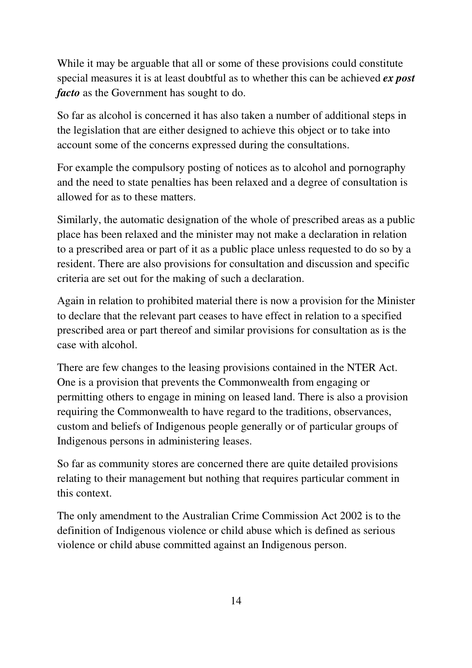While it may be arguable that all or some of these provisions could constitute special measures it is at least doubtful as to whether this can be achieved *ex post facto* as the Government has sought to do.

So far as alcohol is concerned it has also taken a number of additional steps in the legislation that are either designed to achieve this object or to take into account some of the concerns expressed during the consultations.

For example the compulsory posting of notices as to alcohol and pornography and the need to state penalties has been relaxed and a degree of consultation is allowed for as to these matters.

Similarly, the automatic designation of the whole of prescribed areas as a public place has been relaxed and the minister may not make a declaration in relation to a prescribed area or part of it as a public place unless requested to do so by a resident. There are also provisions for consultation and discussion and specific criteria are set out for the making of such a declaration.

Again in relation to prohibited material there is now a provision for the Minister to declare that the relevant part ceases to have effect in relation to a specified prescribed area or part thereof and similar provisions for consultation as is the case with alcohol.

There are few changes to the leasing provisions contained in the NTER Act. One is a provision that prevents the Commonwealth from engaging or permitting others to engage in mining on leased land. There is also a provision requiring the Commonwealth to have regard to the traditions, observances, custom and beliefs of Indigenous people generally or of particular groups of Indigenous persons in administering leases.

So far as community stores are concerned there are quite detailed provisions relating to their management but nothing that requires particular comment in this context.

The only amendment to the Australian Crime Commission Act 2002 is to the definition of Indigenous violence or child abuse which is defined as serious violence or child abuse committed against an Indigenous person.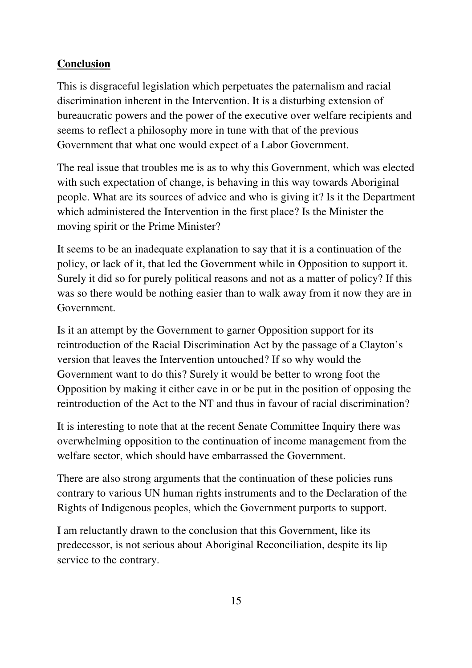### **Conclusion**

This is disgraceful legislation which perpetuates the paternalism and racial discrimination inherent in the Intervention. It is a disturbing extension of bureaucratic powers and the power of the executive over welfare recipients and seems to reflect a philosophy more in tune with that of the previous Government that what one would expect of a Labor Government.

The real issue that troubles me is as to why this Government, which was elected with such expectation of change, is behaving in this way towards Aboriginal people. What are its sources of advice and who is giving it? Is it the Department which administered the Intervention in the first place? Is the Minister the moving spirit or the Prime Minister?

It seems to be an inadequate explanation to say that it is a continuation of the policy, or lack of it, that led the Government while in Opposition to support it. Surely it did so for purely political reasons and not as a matter of policy? If this was so there would be nothing easier than to walk away from it now they are in Government.

Is it an attempt by the Government to garner Opposition support for its reintroduction of the Racial Discrimination Act by the passage of a Clayton's version that leaves the Intervention untouched? If so why would the Government want to do this? Surely it would be better to wrong foot the Opposition by making it either cave in or be put in the position of opposing the reintroduction of the Act to the NT and thus in favour of racial discrimination?

It is interesting to note that at the recent Senate Committee Inquiry there was overwhelming opposition to the continuation of income management from the welfare sector, which should have embarrassed the Government.

There are also strong arguments that the continuation of these policies runs contrary to various UN human rights instruments and to the Declaration of the Rights of Indigenous peoples, which the Government purports to support.

I am reluctantly drawn to the conclusion that this Government, like its predecessor, is not serious about Aboriginal Reconciliation, despite its lip service to the contrary.